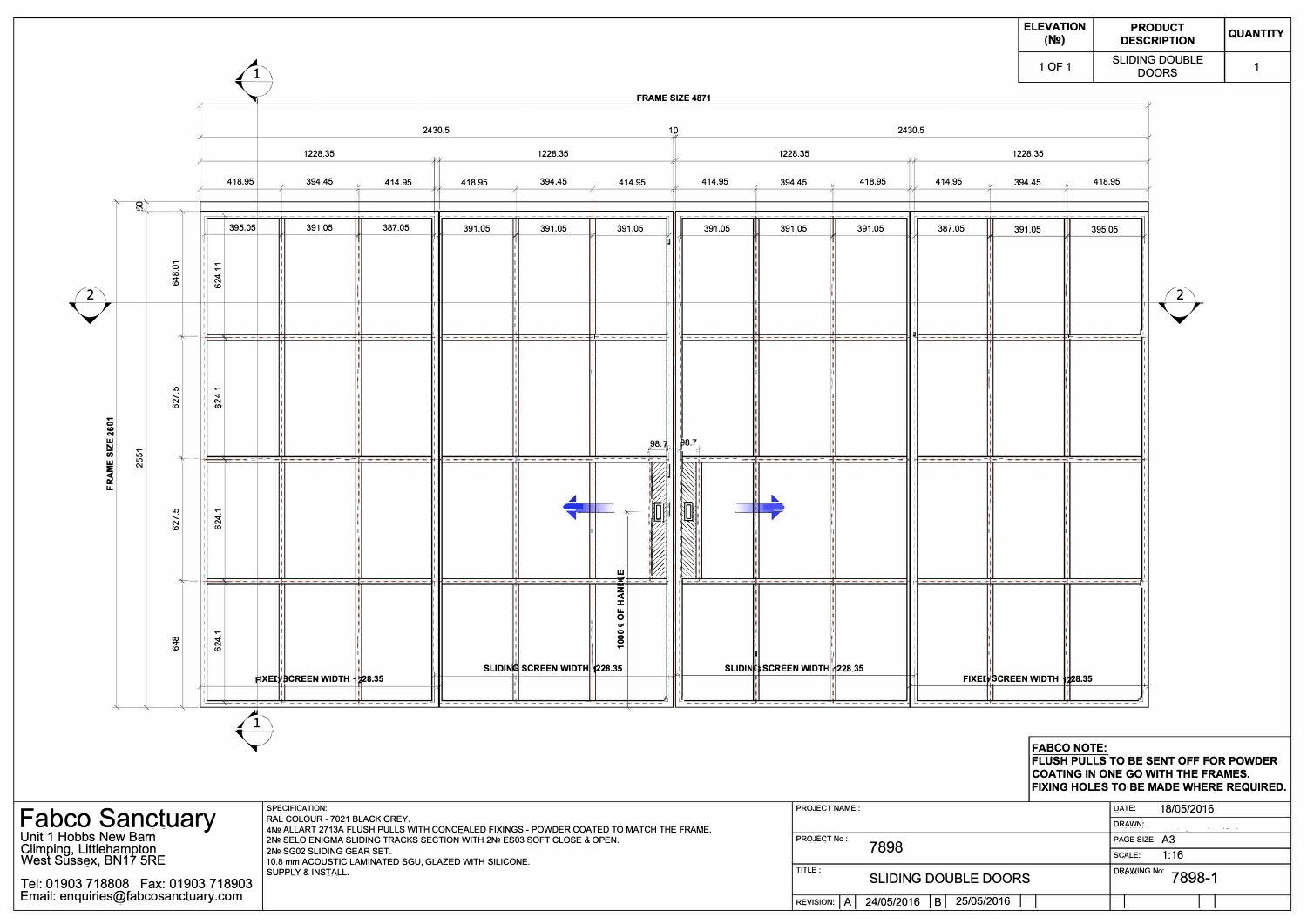

|                                                                                                                                                     | <b>ELEVATION</b><br>(No)    | <b>PRODUCT</b><br><b>DESCRIPTION</b>  | <b>QUANTITY</b>              |  |
|-----------------------------------------------------------------------------------------------------------------------------------------------------|-----------------------------|---------------------------------------|------------------------------|--|
|                                                                                                                                                     | 1 OF 1                      | <b>SLIDING DOUBLE</b><br><b>DOORS</b> | 1                            |  |
|                                                                                                                                                     | 1228.35<br>394.45<br>391.05 | 418.95<br>395.05                      |                              |  |
|                                                                                                                                                     |                             | $\overline{2}$                        |                              |  |
|                                                                                                                                                     |                             |                                       |                              |  |
|                                                                                                                                                     | SCREEN WIDTH 1228.35        |                                       |                              |  |
| <b>FABCO NOTE:</b><br>FLUSH PULLS TO BE SENT OFF FOR POWDER<br><b>COATING IN ONE GO WITH THE FRAMES.</b><br>FIXING HOLES TO BE MADE WHERE REQUIRED. |                             |                                       |                              |  |
|                                                                                                                                                     |                             | 18/05/2016<br>DATE:<br>DRAWN:         |                              |  |
|                                                                                                                                                     |                             | PAGE SIZE: A3                         |                              |  |
|                                                                                                                                                     |                             | 1:16<br>SCALE:                        |                              |  |
| <b>DOORS</b>                                                                                                                                        |                             |                                       | <b>DRAWING No:</b><br>7898-1 |  |